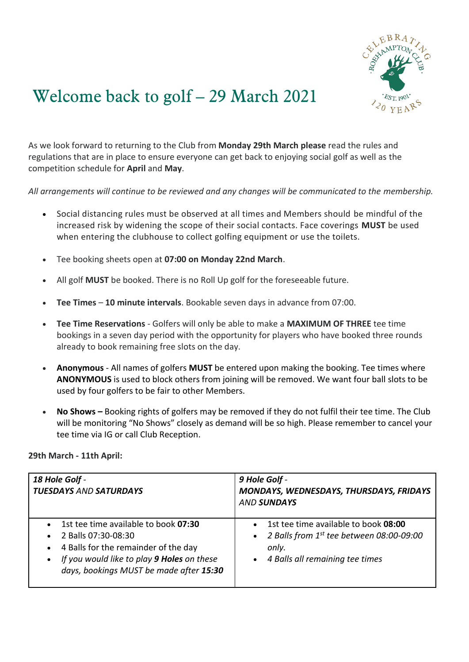

## Welcome back to golf – 29 March 2021

As we look forward to returning to the Club from **Monday 29th March please** read the rules and regulations that are in place to ensure everyone can get back to enjoying social golf as well as the competition schedule for **April** and **May**.

*All arrangements will continue to be reviewed and any changes will be communicated to the membership.*

- Social distancing rules must be observed at all times and Members should be mindful of the increased risk by widening the scope of their social contacts. Face coverings **MUST** be used when entering the clubhouse to collect golfing equipment or use the toilets.
- Tee booking sheets open at **07:00 on Monday 22nd March**.
- All golf **MUST** be booked. There is no Roll Up golf for the foreseeable future.
- **Tee Times 10 minute intervals**. Bookable seven days in advance from 07:00.
- **Tee Time Reservations** Golfers will only be able to make a **MAXIMUM OF THREE** tee time bookings in a seven day period with the opportunity for players who have booked three rounds already to book remaining free slots on the day.
- **Anonymous** All names of golfers **MUST** be entered upon making the booking. Tee times where **ANONYMOUS** is used to block others from joining will be removed. We want four ball slots to be used by four golfers to be fair to other Members.
- **No Shows –** Booking rights of golfers may be removed if they do not fulfil their tee time. The Club will be monitoring "No Shows" closely as demand will be so high. Please remember to cancel your tee time via IG or call Club Reception.

| 29th March - 11th April: |  |  |
|--------------------------|--|--|
|--------------------------|--|--|

| 18 Hole Golf -<br><b>TUESDAYS AND SATURDAYS</b>                                                                                                                                                                                                  | 9 Hole Golf -<br>MONDAYS, WEDNESDAYS, THURSDAYS, FRIDAYS<br><b>AND SUNDAYS</b>                                                                                      |
|--------------------------------------------------------------------------------------------------------------------------------------------------------------------------------------------------------------------------------------------------|---------------------------------------------------------------------------------------------------------------------------------------------------------------------|
| 1st tee time available to book 07:30<br>$\bullet$<br>2 Balls 07:30-08:30<br>$\bullet$<br>4 Balls for the remainder of the day<br>$\bullet$<br>If you would like to play 9 Holes on these<br>$\bullet$<br>days, bookings MUST be made after 15:30 | 1st tee time available to book 08:00<br>$\bullet$<br>2 Balls from 1st tee between 08:00-09:00<br>$\bullet$<br>only.<br>4 Balls all remaining tee times<br>$\bullet$ |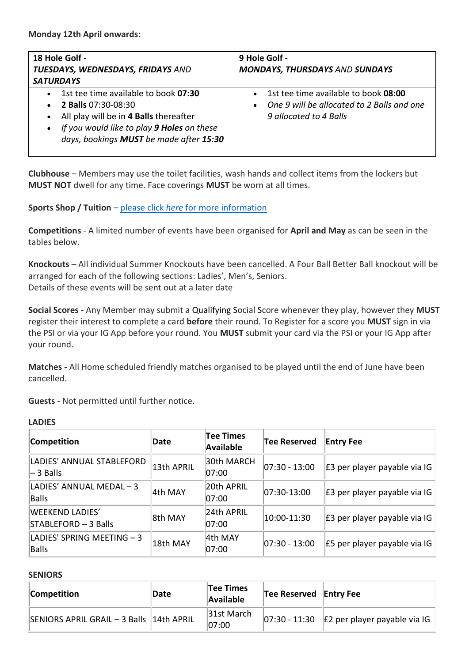| 18 Hole Golf -<br>TUESDAYS, WEDNESDAYS, FRIDAYS AND<br><b>SATURDAYS</b>                                                                                                                                                                                   | 9 Hole Golf -<br><b>MONDAYS, THURSDAYS AND SUNDAYS</b>                                                                                 |
|-----------------------------------------------------------------------------------------------------------------------------------------------------------------------------------------------------------------------------------------------------------|----------------------------------------------------------------------------------------------------------------------------------------|
| 1st tee time available to book 07:30<br>$\bullet$<br><b>2 Balls 07:30-08:30</b><br>$\bullet$<br>All play will be in 4 Balls thereafter<br>$\bullet$<br>If you would like to play 9 Holes on these<br>$\bullet$<br>days, bookings MUST be made after 15:30 | 1st tee time available to book 08:00<br>$\bullet$<br>One 9 will be allocated to 2 Balls and one<br>$\bullet$<br>9 allocated to 4 Balls |

**Clubhouse** – Members may use the toilet facilities, wash hands and collect items from the lockers but **MUST NOT** dwell for any time. Face coverings **MUST** be worn at all times.

**Sports Shop / Tuition** – please click *here* [for more information](https://www.roehamptonclub.co.uk/propeller/uploads/2021/03/Sports-Shop-and-Tuition-Arrangments-29-March-.pdf)

**Competitions** - A limited number of events have been organised for **April and May** as can be seen in the tables below.

**Knockouts** – All individual Summer Knockouts have been cancelled. A Four Ball Better Ball knockout will be arranged for each of the following sections: Ladies', Men's, Seniors. Details of these events will be sent out at a later date

**Social Scores** - Any Member may submit a Qualifying Social Score whenever they play, however they **MUST**  register their interest to complete a card **before** their round. To Register for a score you **MUST** sign in via the PSI or via your IG App before your round. You **MUST** submit your card via the PSI or your IG App after your round.

**Matches -** All Home scheduled friendly matches organised to be played until the end of June have been cancelled.

**Guests** - Not permitted until further notice.

| Competition                                    | Date       | <b>Tee Times</b><br><b>Available</b> | <b>Tee Reserved</b> | <b>Entry Fee</b>             |
|------------------------------------------------|------------|--------------------------------------|---------------------|------------------------------|
| LADIES' ANNUAL STABLEFORD<br>$-$ 3 Balls       | 13th APRIL | 30th MARCH<br>07:00                  | $ 07:30 - 13:00 $   | E3 per player payable via IG |
| LADIES' ANNUAL MEDAL - 3<br>Balls              | 4th MAY    | 20th APRIL<br>07:00                  | $ 07:30-13:00$      | E3 per player payable via IG |
| <b>WEEKEND LADIES'</b><br>STABLEFORD - 3 Balls | 8th MAY    | 24th APRIL<br>07:00                  | 10:00-11:30         | E3 per player payable via IG |
| LADIES' SPRING MEETING - 3<br>Balls            | 18th MAY   | 4th MAY<br>07:00                     | $ 07:30 - 13:00$    | E5 per player payable via IG |

## **SENIORS**

| Competition                              | Date | Tee Times<br>Available | Tee Reserved Entry Fee |                                                                    |
|------------------------------------------|------|------------------------|------------------------|--------------------------------------------------------------------|
| SENIORS APRIL GRAIL - 3 Balls 14th APRIL |      | 31st March<br> 07:00   |                        | $\vert$ 07:30 - 11:30 $\vert$ E2 per player payable via IG $\vert$ |